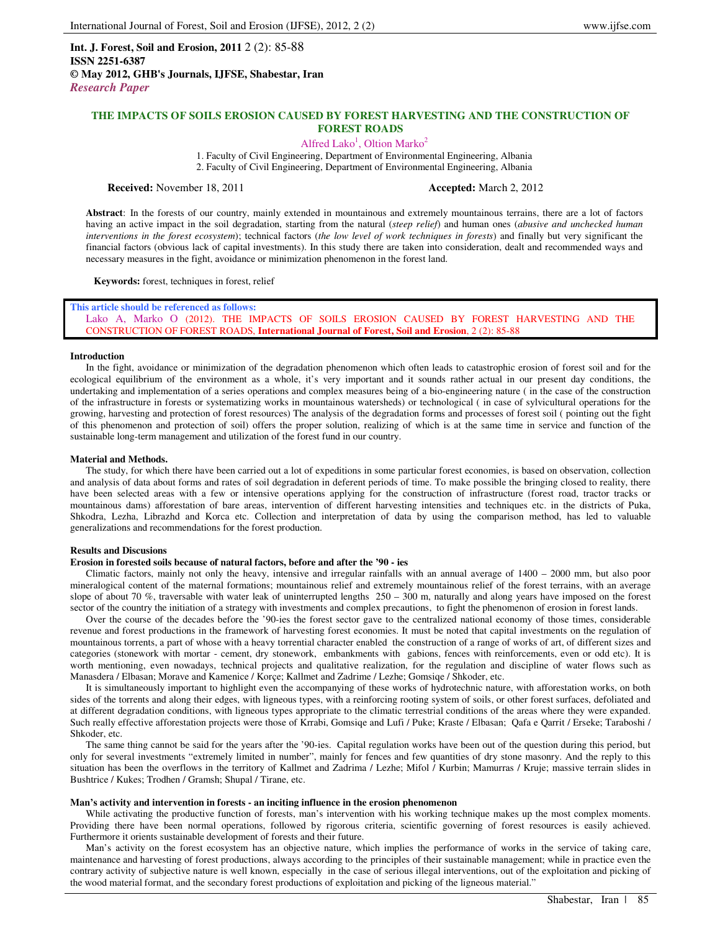**Int. J. Forest, Soil and Erosion, 2011** 2 (2): 85-88 **ISSN 2251-6387 © May 2012, GHB's Journals, IJFSE, Shabestar, Iran** *Research Paper*

# **THE IMPACTS OF SOILS EROSION CAUSED BY FOREST HARVESTING AND THE CONSTRUCTION OF FOREST ROADS**

Alfred Lako<sup>1</sup>, Oltion Marko<sup>2</sup>

1. Faculty of Civil Engineering, Department of Environmental Engineering, Albania 2. Faculty of Civil Engineering, Department of Environmental Engineering, Albania

**Received:** November 18, 2011 **Accepted:** March 2, 2012

**Abstract**: In the forests of our country, mainly extended in mountainous and extremely mountainous terrains, there are a lot of factors having an active impact in the soil degradation, starting from the natural (*steep relief*) and human ones (*abusive and unchecked human interventions in the forest ecosystem*); technical factors (*the low level of work techniques in forests*) and finally but very significant the financial factors (obvious lack of capital investments). In this study there are taken into consideration, dealt and recommended ways and necessary measures in the fight, avoidance or minimization phenomenon in the forest land.

**Keywords:** forest, techniques in forest, relief

**This article should be referenced as follows:**  Lako A, Marko O (2012). THE IMPACTS OF SOILS EROSION CAUSED BY FOREST HARVESTING AND THE CONSTRUCTION OF FOREST ROADS, **International Journal of Forest, Soil and Erosion**, 2 (2): 85-88

### **Introduction**

In the fight, avoidance or minimization of the degradation phenomenon which often leads to catastrophic erosion of forest soil and for the ecological equilibrium of the environment as a whole, it's very important and it sounds rather actual in our present day conditions, the undertaking and implementation of a series operations and complex measures being of a bio-engineering nature ( in the case of the construction of the infrastructure in forests or systematizing works in mountainous watersheds) or technological ( in case of sylvicultural operations for the growing, harvesting and protection of forest resources) The analysis of the degradation forms and processes of forest soil ( pointing out the fight of this phenomenon and protection of soil) offers the proper solution, realizing of which is at the same time in service and function of the sustainable long-term management and utilization of the forest fund in our country.

## **Material and Methods.**

The study, for which there have been carried out a lot of expeditions in some particular forest economies, is based on observation, collection and analysis of data about forms and rates of soil degradation in deferent periods of time. To make possible the bringing closed to reality, there have been selected areas with a few or intensive operations applying for the construction of infrastructure (forest road, tractor tracks or mountainous dams) afforestation of bare areas, intervention of different harvesting intensities and techniques etc. in the districts of Puka, Shkodra, Lezha, Librazhd and Korca etc. Collection and interpretation of data by using the comparison method, has led to valuable generalizations and recommendations for the forest production.

### **Results and Discusions**

## **Erosion in forested soils because of natural factors, before and after the '90 - ies**

Climatic factors, mainly not only the heavy, intensive and irregular rainfalls with an annual average of 1400 – 2000 mm, but also poor mineralogical content of the maternal formations; mountainous relief and extremely mountainous relief of the forest terrains, with an average slope of about 70 %, traversable with water leak of uninterrupted lengths  $250 - 300$  m, naturally and along years have imposed on the forest sector of the country the initiation of a strategy with investments and complex precautions, to fight the phenomenon of erosion in forest lands.

Over the course of the decades before the '90-ies the forest sector gave to the centralized national economy of those times, considerable revenue and forest productions in the framework of harvesting forest economies. It must be noted that capital investments on the regulation of mountainous torrents, a part of whose with a heavy torrential character enabled the construction of a range of works of art, of different sizes and categories (stonework with mortar - cement, dry stonework, embankments with gabions, fences with reinforcements, even or odd etc). It is worth mentioning, even nowadays, technical projects and qualitative realization, for the regulation and discipline of water flows such as Manasdera / Elbasan; Morave and Kamenice / Korçe; Kallmet and Zadrime / Lezhe; Gomsiqe / Shkoder, etc.

It is simultaneously important to highlight even the accompanying of these works of hydrotechnic nature, with afforestation works, on both sides of the torrents and along their edges, with ligneous types, with a reinforcing rooting system of soils, or other forest surfaces, defoliated and at different degradation conditions, with ligneous types appropriate to the climatic terrestrial conditions of the areas where they were expanded. Such really effective afforestation projects were those of Krrabi, Gomsiqe and Lufi / Puke; Kraste / Elbasan; Qafa e Qarrit / Erseke; Taraboshi / Shkoder, etc.

The same thing cannot be said for the years after the '90-ies. Capital regulation works have been out of the question during this period, but only for several investments "extremely limited in number", mainly for fences and few quantities of dry stone masonry. And the reply to this situation has been the overflows in the territory of Kallmet and Zadrima / Lezhe; Mifol / Kurbin; Mamurras / Kruje; massive terrain slides in Bushtrice / Kukes; Trodhen / Gramsh; Shupal / Tirane, etc.

#### **Man's activity and intervention in forests - an inciting influence in the erosion phenomenon**

While activating the productive function of forests, man's intervention with his working technique makes up the most complex moments. Providing there have been normal operations, followed by rigorous criteria, scientific governing of forest resources is easily achieved. Furthermore it orients sustainable development of forests and their future.

Man's activity on the forest ecosystem has an objective nature, which implies the performance of works in the service of taking care, maintenance and harvesting of forest productions, always according to the principles of their sustainable management; while in practice even the contrary activity of subjective nature is well known, especially in the case of serious illegal interventions, out of the exploitation and picking of the wood material format, and the secondary forest productions of exploitation and picking of the ligneous material."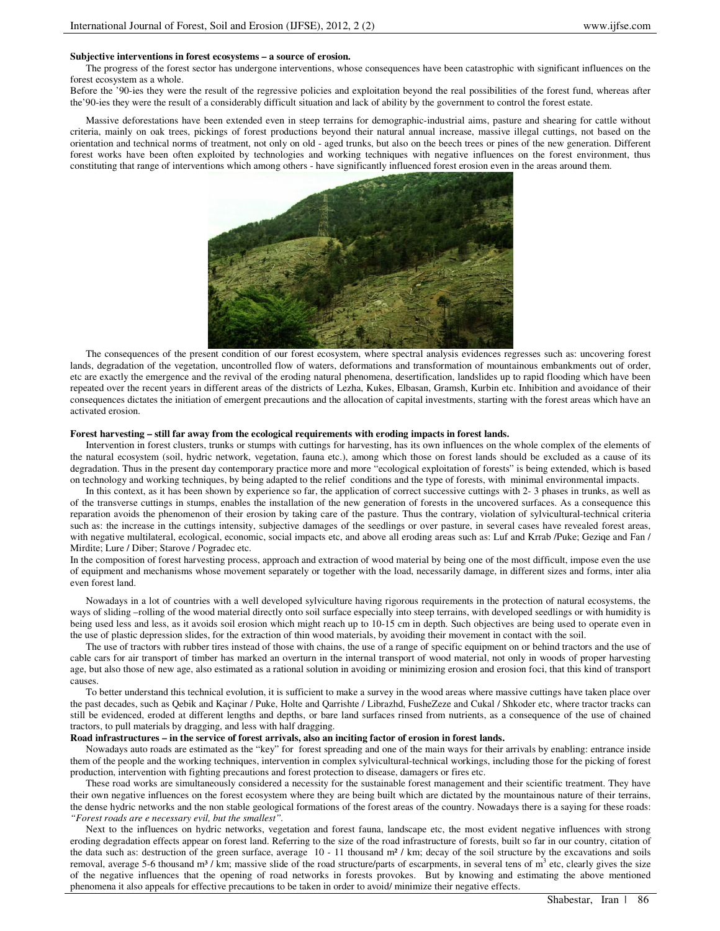## **Subjective interventions in forest ecosystems – a source of erosion.**

The progress of the forest sector has undergone interventions, whose consequences have been catastrophic with significant influences on the forest ecosystem as a whole.

Before the '90-ies they were the result of the regressive policies and exploitation beyond the real possibilities of the forest fund, whereas after the'90-ies they were the result of a considerably difficult situation and lack of ability by the government to control the forest estate.

Massive deforestations have been extended even in steep terrains for demographic-industrial aims, pasture and shearing for cattle without criteria, mainly on oak trees, pickings of forest productions beyond their natural annual increase, massive illegal cuttings, not based on the orientation and technical norms of treatment, not only on old - aged trunks, but also on the beech trees or pines of the new generation. Different forest works have been often exploited by technologies and working techniques with negative influences on the forest environment, thus constituting that range of interventions which among others - have significantly influenced forest erosion even in the areas around them.



The consequences of the present condition of our forest ecosystem, where spectral analysis evidences regresses such as: uncovering forest lands, degradation of the vegetation, uncontrolled flow of waters, deformations and transformation of mountainous embankments out of order, etc are exactly the emergence and the revival of the eroding natural phenomena, desertification, landslides up to rapid flooding which have been repeated over the recent years in different areas of the districts of Lezha, Kukes, Elbasan, Gramsh, Kurbin etc. Inhibition and avoidance of their consequences dictates the initiation of emergent precautions and the allocation of capital investments, starting with the forest areas which have an activated erosion.

### **Forest harvesting – still far away from the ecological requirements with eroding impacts in forest lands.**

Intervention in forest clusters, trunks or stumps with cuttings for harvesting, has its own influences on the whole complex of the elements of the natural ecosystem (soil, hydric network, vegetation, fauna etc.), among which those on forest lands should be excluded as a cause of its degradation. Thus in the present day contemporary practice more and more "ecological exploitation of forests" is being extended, which is based on technology and working techniques, by being adapted to the relief conditions and the type of forests, with minimal environmental impacts.

In this context, as it has been shown by experience so far, the application of correct successive cuttings with 2- 3 phases in trunks, as well as of the transverse cuttings in stumps, enables the installation of the new generation of forests in the uncovered surfaces. As a consequence this reparation avoids the phenomenon of their erosion by taking care of the pasture. Thus the contrary, violation of sylvicultural-technical criteria such as: the increase in the cuttings intensity, subjective damages of the seedlings or over pasture, in several cases have revealed forest areas, with negative multilateral, ecological, economic, social impacts etc, and above all eroding areas such as: Luf and Krrab /Puke; Geziqe and Fan / Mirdite; Lure / Diber; Starove / Pogradec etc.

In the composition of forest harvesting process, approach and extraction of wood material by being one of the most difficult, impose even the use of equipment and mechanisms whose movement separately or together with the load, necessarily damage, in different sizes and forms, inter alia even forest land.

Nowadays in a lot of countries with a well developed sylviculture having rigorous requirements in the protection of natural ecosystems, the ways of sliding –rolling of the wood material directly onto soil surface especially into steep terrains, with developed seedlings or with humidity is being used less and less, as it avoids soil erosion which might reach up to 10-15 cm in depth. Such objectives are being used to operate even in the use of plastic depression slides, for the extraction of thin wood materials, by avoiding their movement in contact with the soil.

The use of tractors with rubber tires instead of those with chains, the use of a range of specific equipment on or behind tractors and the use of cable cars for air transport of timber has marked an overturn in the internal transport of wood material, not only in woods of proper harvesting age, but also those of new age, also estimated as a rational solution in avoiding or minimizing erosion and erosion foci, that this kind of transport causes.

To better understand this technical evolution, it is sufficient to make a survey in the wood areas where massive cuttings have taken place over the past decades, such as Qebik and Kaçinar / Puke, Holte and Qarrishte / Librazhd, FusheZeze and Cukal / Shkoder etc, where tractor tracks can still be evidenced, eroded at different lengths and depths, or bare land surfaces rinsed from nutrients, as a consequence of the use of chained tractors, to pull materials by dragging, and less with half dragging.

## **Road infrastructures – in the service of forest arrivals, also an inciting factor of erosion in forest lands.**

Nowadays auto roads are estimated as the "key" for forest spreading and one of the main ways for their arrivals by enabling: entrance inside them of the people and the working techniques, intervention in complex sylvicultural-technical workings, including those for the picking of forest production, intervention with fighting precautions and forest protection to disease, damagers or fires etc.

These road works are simultaneously considered a necessity for the sustainable forest management and their scientific treatment. They have their own negative influences on the forest ecosystem where they are being built which are dictated by the mountainous nature of their terrains, the dense hydric networks and the non stable geological formations of the forest areas of the country. Nowadays there is a saying for these roads: *"Forest roads are e necessary evil, but the smallest".* 

Next to the influences on hydric networks, vegetation and forest fauna, landscape etc, the most evident negative influences with strong eroding degradation effects appear on forest land. Referring to the size of the road infrastructure of forests, built so far in our country, citation of the data such as: destruction of the green surface, average 10 - 11 thousand m<sup>2</sup> / km; decay of the soil structure by the excavations and soils removal, average 5-6 thousand m<sup>3</sup> / km; massive slide of the road structure/parts of escarpments, in several tens of m<sup>3</sup> etc, clearly gives the size of the negative influences that the opening of road networks in forests provokes. But by knowing and estimating the above mentioned phenomena it also appeals for effective precautions to be taken in order to avoid/ minimize their negative effects.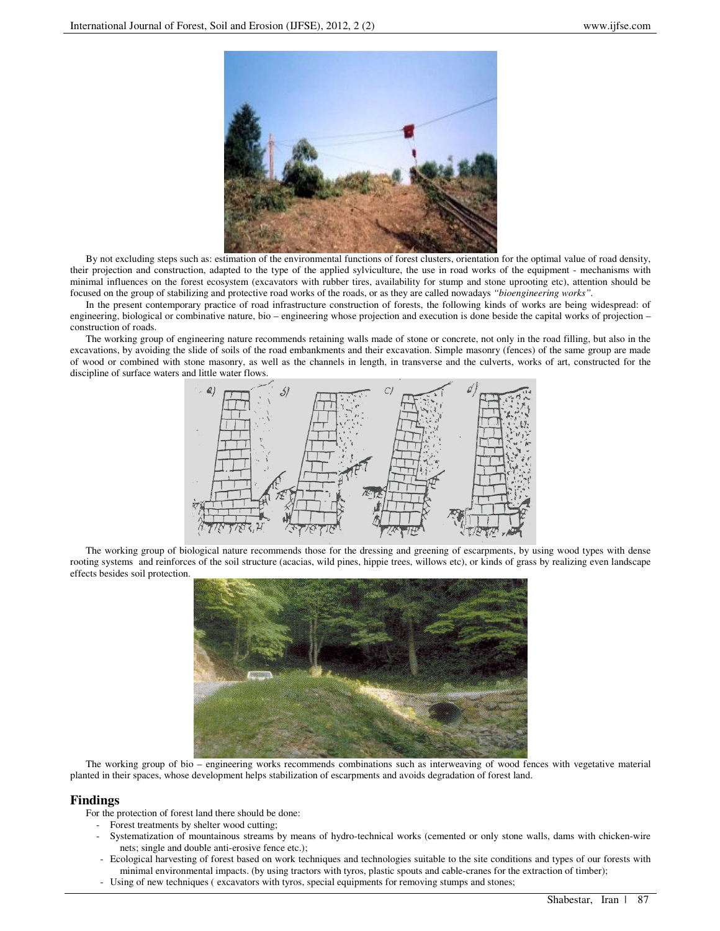

By not excluding steps such as: estimation of the environmental functions of forest clusters, orientation for the optimal value of road density, their projection and construction, adapted to the type of the applied sylviculture, the use in road works of the equipment - mechanisms with minimal influences on the forest ecosystem (excavators with rubber tires, availability for stump and stone uprooting etc), attention should be focused on the group of stabilizing and protective road works of the roads, or as they are called nowadays *"bioengineering works".* 

In the present contemporary practice of road infrastructure construction of forests, the following kinds of works are being widespread: of engineering, biological or combinative nature, bio – engineering whose projection and execution is done beside the capital works of projection – construction of roads.

The working group of engineering nature recommends retaining walls made of stone or concrete, not only in the road filling, but also in the excavations, by avoiding the slide of soils of the road embankments and their excavation. Simple masonry (fences) of the same group are made of wood or combined with stone masonry, as well as the channels in length, in transverse and the culverts, works of art, constructed for the discipline of surface waters and little water flows.



The working group of biological nature recommends those for the dressing and greening of escarpments, by using wood types with dense rooting systems and reinforces of the soil structure (acacias, wild pines, hippie trees, willows etc), or kinds of grass by realizing even landscape effects besides soil protection.



The working group of bio – engineering works recommends combinations such as interweaving of wood fences with vegetative material planted in their spaces, whose development helps stabilization of escarpments and avoids degradation of forest land.

# **Findings**

For the protection of forest land there should be done:

- Forest treatments by shelter wood cutting;
- Systematization of mountainous streams by means of hydro-technical works (cemented or only stone walls, dams with chicken-wire nets; single and double anti-erosive fence etc.);
- Ecological harvesting of forest based on work techniques and technologies suitable to the site conditions and types of our forests with minimal environmental impacts. (by using tractors with tyros, plastic spouts and cable-cranes for the extraction of timber);
- Using of new techniques ( excavators with tyros, special equipments for removing stumps and stones;